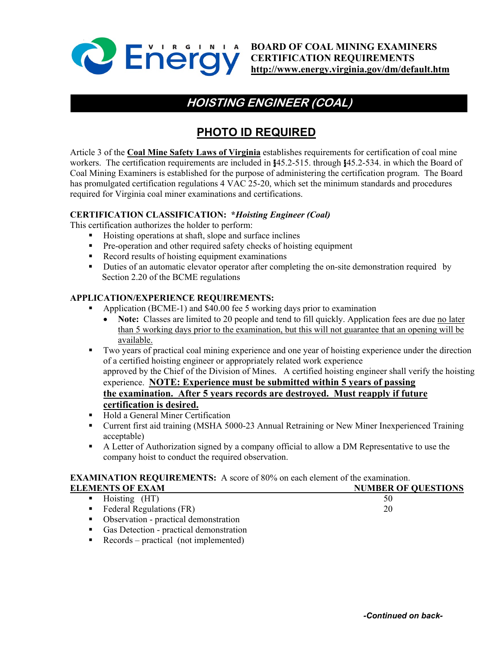

**BOARD OF COAL MINING EXAMINERS CERTIFICATION REQUIREMENTS <http://www.energy.virginia.gov/dm/default.htm>**

## **HOISTING ENGINEER (COAL)**

### **PHOTO ID REQUIRED**

Article 3 of the **Coal Mine Safety Laws of Virginia** establishes requirements for certification of coal mine workers. The certification requirements are included in §45.2-515. through §45.2-534. in which the Board of Coal Mining Examiners is established for the purpose of administering the certification program. The Board has promulgated certification regulations 4 VAC 25-20, which set the minimum standards and procedures required for Virginia coal miner examinations and certifications.

#### **CERTIFICATION CLASSIFICATION: \****Hoisting Engineer (Coal)*

This certification authorizes the holder to perform:

- Hoisting operations at shaft, slope and surface inclines
- **Pre-operation and other required safety checks of hoisting equipment**
- Record results of hoisting equipment examinations
- **Duties of an automatic elevator operator after completing the on-site demonstration required by** Section 2.20 of the BCME regulations

#### **APPLICATION/EXPERIENCE REQUIREMENTS:**

- Application (BCME-1) and \$40.00 fee 5 working days prior to examination
	- **Note:** Classes are limited to 20 people and tend to fill quickly. Application fees are due no later than 5 working days prior to the examination, but this will not guarantee that an opening will be available.
- Two years of practical coal mining experience and one year of hoisting experience under the direction of a certified hoisting engineer or appropriately related work experience approved by the Chief of the Division of Mines. A certified hoisting engineer shall verify the hoisting experience. **NOTE: Experience must be submitted within 5 years of passing the examination. After 5 years records are destroyed. Must reapply if future certification is desired.**
- Hold a General Miner Certification
- Current first aid training (MSHA 5000-23 Annual Retraining or New Miner Inexperienced Training acceptable)
- A Letter of Authorization signed by a company official to allow a DM Representative to use the company hoist to conduct the required observation.

#### **EXAMINATION REQUIREMENTS:** A score of 80% on each element of the examination.

| <b>ELEMENTS OF EXAM</b>                   | <b>NUMBER OF QUESTIONS</b> |
|-------------------------------------------|----------------------------|
| $\blacksquare$ Hoisting (HT)              | 50                         |
| $\blacksquare$ Federal Regulations (FR)   | 20                         |
| • Observation - practical demonstration   |                            |
| • Gas Detection - practical demonstration |                            |

**Records** – practical (not implemented)